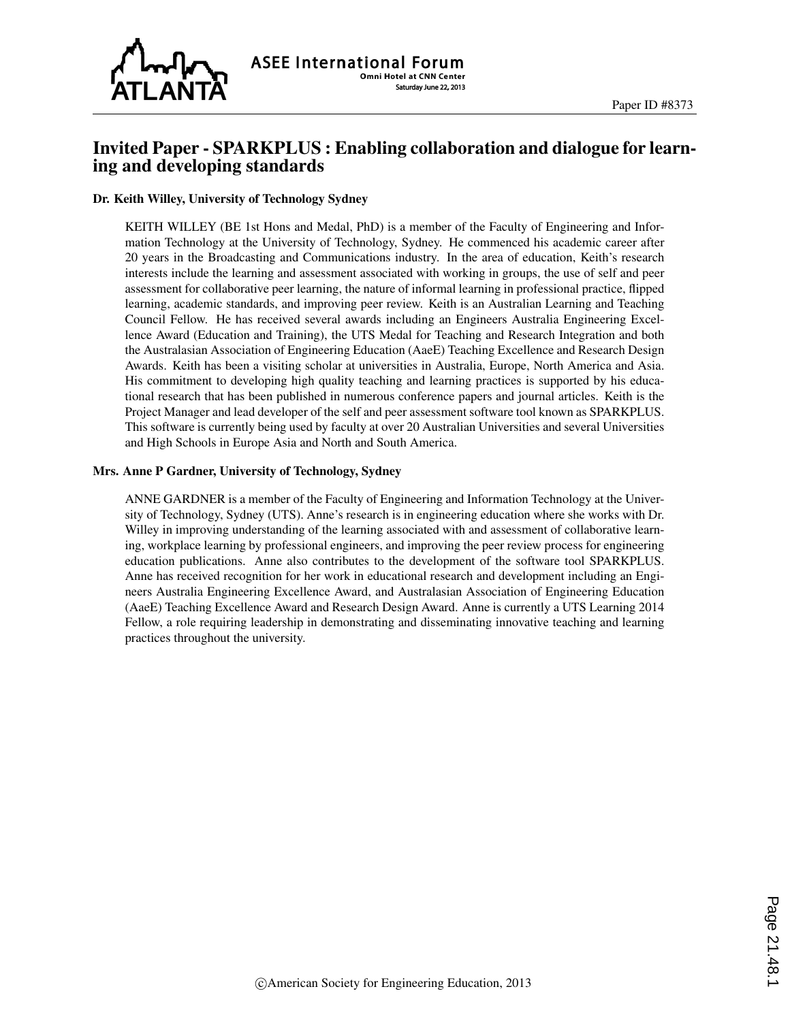

## Invited Paper - SPARKPLUS : Enabling collaboration and dialogue for learning and developing standards

#### Dr. Keith Willey, University of Technology Sydney

KEITH WILLEY (BE 1st Hons and Medal, PhD) is a member of the Faculty of Engineering and Information Technology at the University of Technology, Sydney. He commenced his academic career after 20 years in the Broadcasting and Communications industry. In the area of education, Keith's research interests include the learning and assessment associated with working in groups, the use of self and peer assessment for collaborative peer learning, the nature of informal learning in professional practice, flipped learning, academic standards, and improving peer review. Keith is an Australian Learning and Teaching Council Fellow. He has received several awards including an Engineers Australia Engineering Excellence Award (Education and Training), the UTS Medal for Teaching and Research Integration and both the Australasian Association of Engineering Education (AaeE) Teaching Excellence and Research Design Awards. Keith has been a visiting scholar at universities in Australia, Europe, North America and Asia. His commitment to developing high quality teaching and learning practices is supported by his educational research that has been published in numerous conference papers and journal articles. Keith is the Project Manager and lead developer of the self and peer assessment software tool known as SPARKPLUS. This software is currently being used by faculty at over 20 Australian Universities and several Universities and High Schools in Europe Asia and North and South America.

#### Mrs. Anne P Gardner, University of Technology, Sydney

ANNE GARDNER is a member of the Faculty of Engineering and Information Technology at the University of Technology, Sydney (UTS). Anne's research is in engineering education where she works with Dr. Willey in improving understanding of the learning associated with and assessment of collaborative learning, workplace learning by professional engineers, and improving the peer review process for engineering education publications. Anne also contributes to the development of the software tool SPARKPLUS. Anne has received recognition for her work in educational research and development including an Engineers Australia Engineering Excellence Award, and Australasian Association of Engineering Education (AaeE) Teaching Excellence Award and Research Design Award. Anne is currently a UTS Learning 2014 Fellow, a role requiring leadership in demonstrating and disseminating innovative teaching and learning practices throughout the university.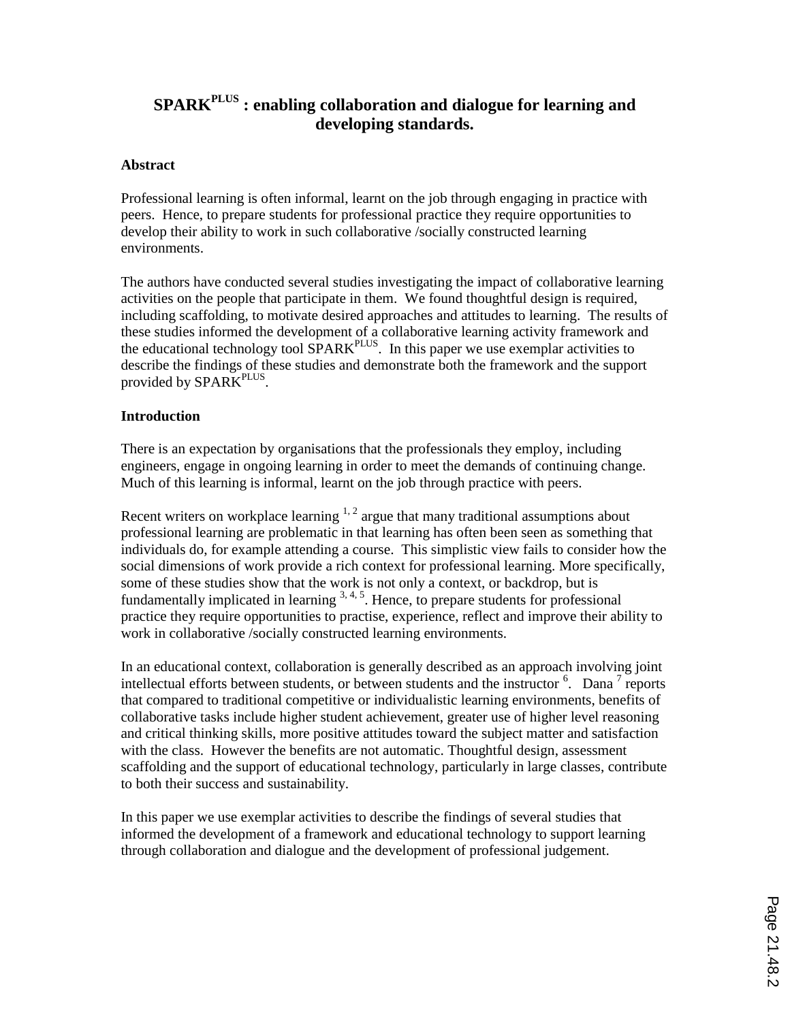# **SPARKPLUS : enabling collaboration and dialogue for learning and developing standards.**

## **Abstract**

Professional learning is often informal, learnt on the job through engaging in practice with peers. Hence, to prepare students for professional practice they require opportunities to develop their ability to work in such collaborative /socially constructed learning environments.

The authors have conducted several studies investigating the impact of collaborative learning activities on the people that participate in them. We found thoughtful design is required, including scaffolding, to motivate desired approaches and attitudes to learning. The results of these studies informed the development of a collaborative learning activity framework and the educational technology tool SPARK<sup>PLUS</sup>. In this paper we use exemplar activities to describe the findings of these studies and demonstrate both the framework and the support provided by SPARK<sup>PLUS</sup>.

## **Introduction**

There is an expectation by organisations that the professionals they employ, including engineers, engage in ongoing learning in order to meet the demands of continuing change. Much of this learning is informal, learnt on the job through practice with peers.

Recent writers on workplace learning  $1, 2$  argue that many traditional assumptions about professional learning are problematic in that learning has often been seen as something that individuals do, for example attending a course. This simplistic view fails to consider how the social dimensions of work provide a rich context for professional learning. More specifically, some of these studies show that the work is not only a context, or backdrop, but is fundamentally implicated in learning  $3, 4, 5$ . Hence, to prepare students for professional practice they require opportunities to practise, experience, reflect and improve their ability to work in collaborative /socially constructed learning environments.

In an educational context, collaboration is generally described as an approach involving joint intellectual efforts between students, or between students and the instructor  $6$ . Dana  $7$  reports that compared to traditional competitive or individualistic learning environments, benefits of collaborative tasks include higher student achievement, greater use of higher level reasoning and critical thinking skills, more positive attitudes toward the subject matter and satisfaction with the class. However the benefits are not automatic. Thoughtful design, assessment scaffolding and the support of educational technology, particularly in large classes, contribute to both their success and sustainability.

In this paper we use exemplar activities to describe the findings of several studies that informed the development of a framework and educational technology to support learning through collaboration and dialogue and the development of professional judgement.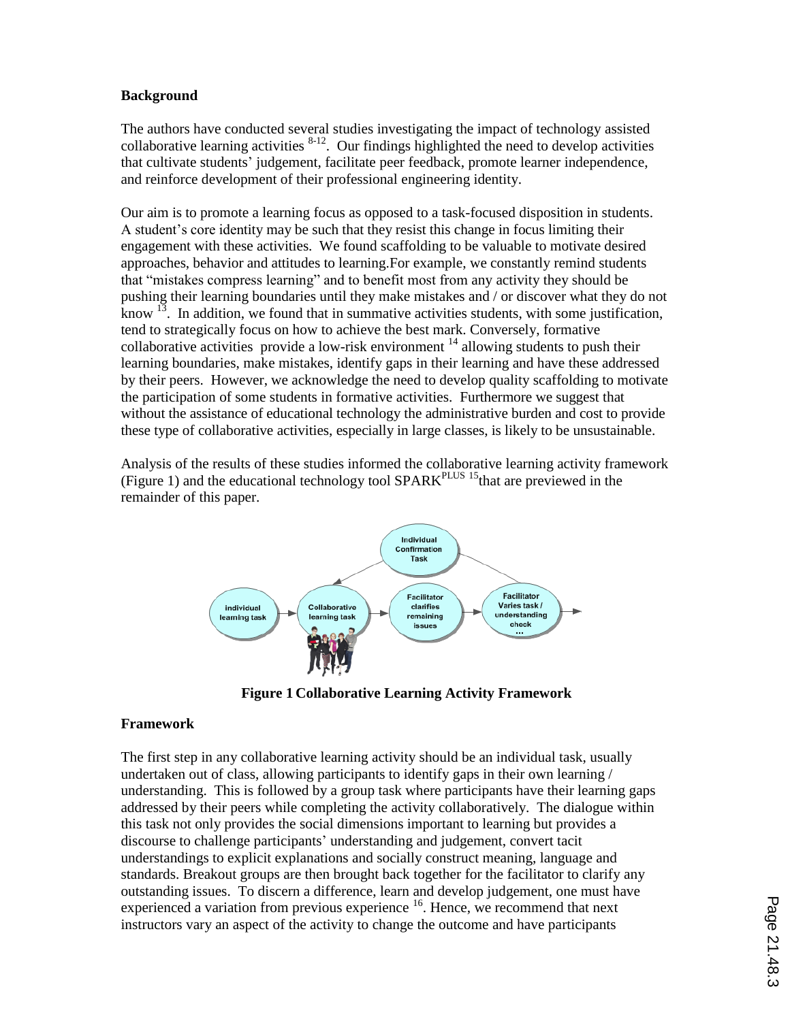## **Background**

The authors have conducted several studies investigating the impact of technology assisted collaborative learning activities  $8-12$ . Our findings highlighted the need to develop activities that cultivate students" judgement, facilitate peer feedback, promote learner independence, and reinforce development of their professional engineering identity.

Our aim is to promote a learning focus as opposed to a task-focused disposition in students. A student"s core identity may be such that they resist this change in focus limiting their engagement with these activities. We found scaffolding to be valuable to motivate desired approaches, behavior and attitudes to learning.For example, we constantly remind students that "mistakes compress learning" and to benefit most from any activity they should be pushing their learning boundaries until they make mistakes and / or discover what they do not know  $13$ . In addition, we found that in summative activities students, with some justification, tend to strategically focus on how to achieve the best mark. Conversely, formative collaborative activities provide a low-risk environment  $14$  allowing students to push their learning boundaries, make mistakes, identify gaps in their learning and have these addressed by their peers. However, we acknowledge the need to develop quality scaffolding to motivate the participation of some students in formative activities. Furthermore we suggest that without the assistance of educational technology the administrative burden and cost to provide these type of collaborative activities, especially in large classes, is likely to be unsustainable.

Analysis of the results of these studies informed the collaborative learning activity framework (Figure 1) and the educational technology tool  $SPARK<sup>PLUS 15</sup>$  that are previewed in the remainder of this paper.



**Figure 1 Collaborative Learning Activity Framework**

### **Framework**

The first step in any collaborative learning activity should be an individual task, usually undertaken out of class, allowing participants to identify gaps in their own learning / understanding. This is followed by a group task where participants have their learning gaps addressed by their peers while completing the activity collaboratively. The dialogue within this task not only provides the social dimensions important to learning but provides a discourse to challenge participants" understanding and judgement, convert tacit understandings to explicit explanations and socially construct meaning, language and standards. Breakout groups are then brought back together for the facilitator to clarify any outstanding issues. To discern a difference, learn and develop judgement, one must have experienced a variation from previous experience <sup>16</sup>. Hence, we recommend that next instructors vary an aspect of the activity to change the outcome and have participants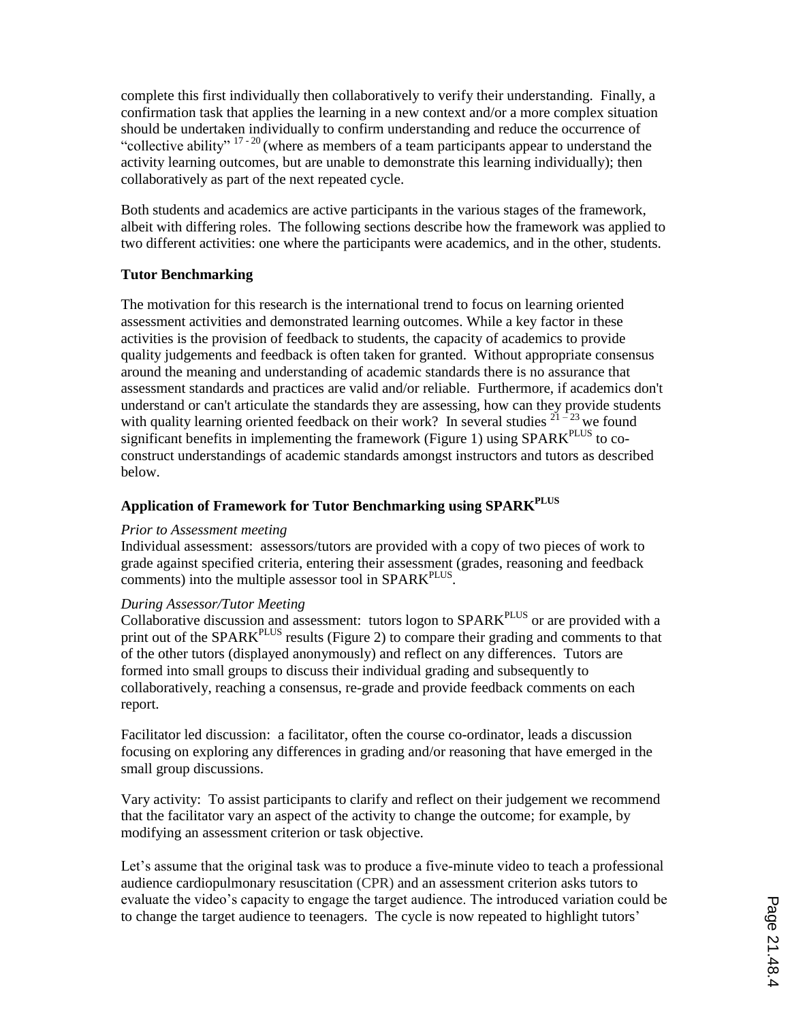complete this first individually then collaboratively to verify their understanding. Finally, a confirmation task that applies the learning in a new context and/or a more complex situation should be undertaken individually to confirm understanding and reduce the occurrence of "collective ability"  $17 - 20$  (where as members of a team participants appear to understand the activity learning outcomes, but are unable to demonstrate this learning individually); then collaboratively as part of the next repeated cycle.

Both students and academics are active participants in the various stages of the framework, albeit with differing roles. The following sections describe how the framework was applied to two different activities: one where the participants were academics, and in the other, students.

## **Tutor Benchmarking**

The motivation for this research is the international trend to focus on learning oriented assessment activities and demonstrated learning outcomes. While a key factor in these activities is the provision of feedback to students, the capacity of academics to provide quality judgements and feedback is often taken for granted. Without appropriate consensus around the meaning and understanding of academic standards there is no assurance that assessment standards and practices are valid and/or reliable. Furthermore, if academics don't understand or can't articulate the standards they are assessing, how can they provide students with quality learning oriented feedback on their work? In several studies  $2^{1-23}$  we found significant benefits in implementing the framework (Figure 1) using SPARK<sup>PLUS</sup> to coconstruct understandings of academic standards amongst instructors and tutors as described below.

## **Application of Framework for Tutor Benchmarking using SPARKPLUS**

### *Prior to Assessment meeting*

Individual assessment: assessors/tutors are provided with a copy of two pieces of work to grade against specified criteria, entering their assessment (grades, reasoning and feedback comments) into the multiple assessor tool in  $SPARK^{PLUS}$ .

### *During Assessor/Tutor Meeting*

Collaborative discussion and assessment: tutors logon to SPARK<sup>PLUS</sup> or are provided with a print out of the SPARK<sup>PLUS</sup> results (Figure 2) to compare their grading and comments to that of the other tutors (displayed anonymously) and reflect on any differences. Tutors are formed into small groups to discuss their individual grading and subsequently to collaboratively, reaching a consensus, re-grade and provide feedback comments on each report.

Facilitator led discussion: a facilitator, often the course co-ordinator, leads a discussion focusing on exploring any differences in grading and/or reasoning that have emerged in the small group discussions.

Vary activity: To assist participants to clarify and reflect on their judgement we recommend that the facilitator vary an aspect of the activity to change the outcome; for example, by modifying an assessment criterion or task objective.

Let's assume that the original task was to produce a five-minute video to teach a professional audience cardiopulmonary resuscitation (CPR) and an assessment criterion asks tutors to evaluate the video"s capacity to engage the target audience. The introduced variation could be to change the target audience to teenagers. The cycle is now repeated to highlight tutors"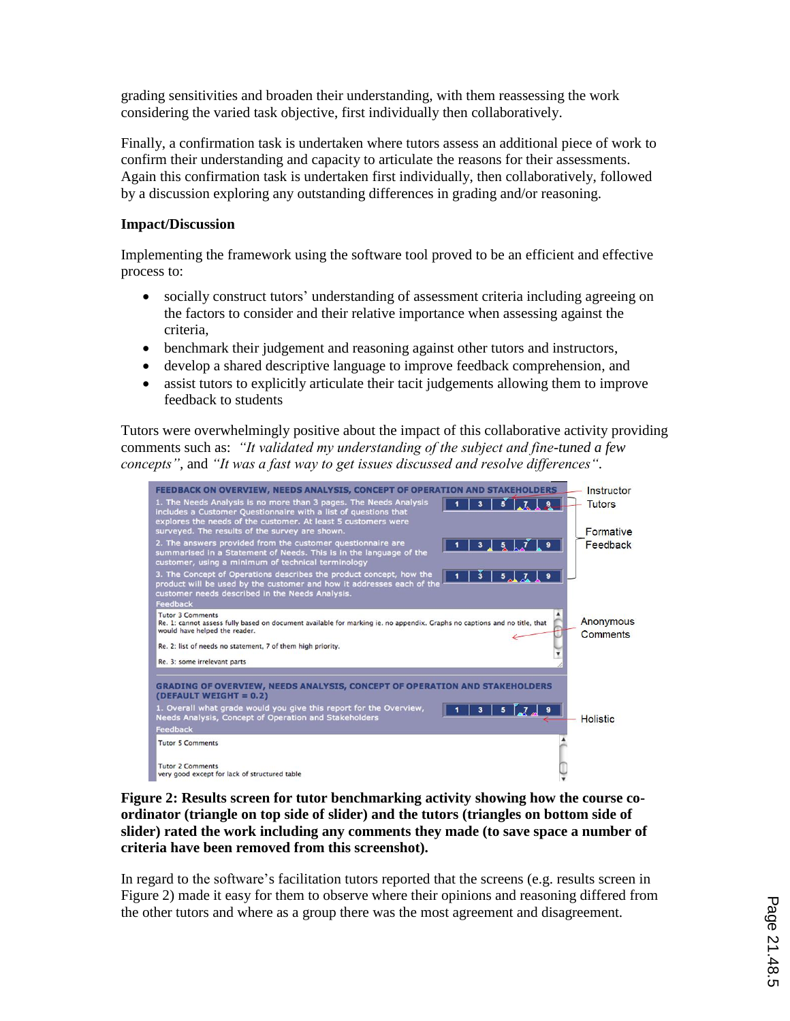grading sensitivities and broaden their understanding, with them reassessing the work considering the varied task objective, first individually then collaboratively.

Finally, a confirmation task is undertaken where tutors assess an additional piece of work to confirm their understanding and capacity to articulate the reasons for their assessments. Again this confirmation task is undertaken first individually, then collaboratively, followed by a discussion exploring any outstanding differences in grading and/or reasoning.

## **Impact/Discussion**

Implementing the framework using the software tool proved to be an efficient and effective process to:

- socially construct tutors' understanding of assessment criteria including agreeing on the factors to consider and their relative importance when assessing against the criteria,
- benchmark their judgement and reasoning against other tutors and instructors,
- develop a shared descriptive language to improve feedback comprehension, and
- assist tutors to explicitly articulate their tacit judgements allowing them to improve feedback to students

Tutors were overwhelmingly positive about the impact of this collaborative activity providing comments such as: *"It validated my understanding of the subject and fine-tuned a few concepts",* and *"It was a fast way to get issues discussed and resolve differences".*



**Figure 2: Results screen for tutor benchmarking activity showing how the course coordinator (triangle on top side of slider) and the tutors (triangles on bottom side of slider) rated the work including any comments they made (to save space a number of criteria have been removed from this screenshot).**

In regard to the software's facilitation tutors reported that the screens (e.g. results screen in Figure 2) made it easy for them to observe where their opinions and reasoning differed from the other tutors and where as a group there was the most agreement and disagreement.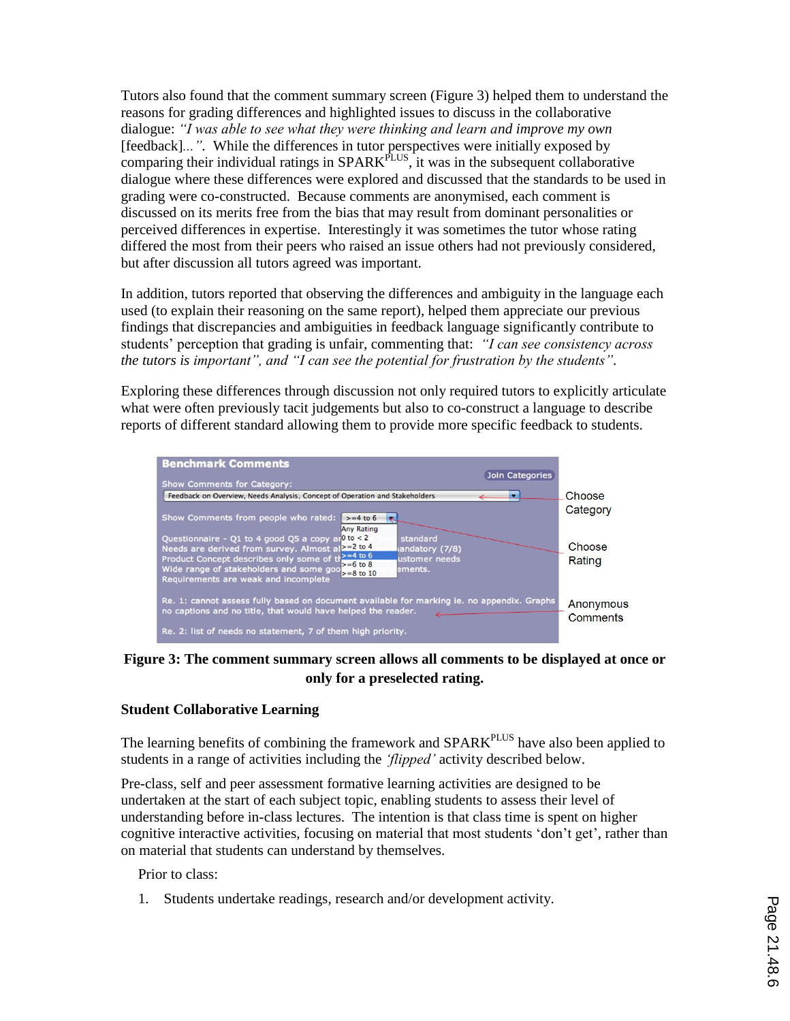Tutors also found that the comment summary screen (Figure 3) helped them to understand the reasons for grading differences and highlighted issues to discuss in the collaborative dialogue: *"I was able to see what they were thinking and learn and improve my own*  [feedback]*...".* While the differences in tutor perspectives were initially exposed by comparing their individual ratings in  $SPARK^{PLUS}$ , it was in the subsequent collaborative dialogue where these differences were explored and discussed that the standards to be used in grading were co-constructed. Because comments are anonymised, each comment is discussed on its merits free from the bias that may result from dominant personalities or perceived differences in expertise. Interestingly it was sometimes the tutor whose rating differed the most from their peers who raised an issue others had not previously considered, but after discussion all tutors agreed was important.

In addition, tutors reported that observing the differences and ambiguity in the language each used (to explain their reasoning on the same report), helped them appreciate our previous findings that discrepancies and ambiguities in feedback language significantly contribute to students" perception that grading is unfair, commenting that: *"I can see consistency across the tutors is important", and "I can see the potential for frustration by the students".*

Exploring these differences through discussion not only required tutors to explicitly articulate what were often previously tacit judgements but also to co-construct a language to describe reports of different standard allowing them to provide more specific feedback to students.



**Figure 3: The comment summary screen allows all comments to be displayed at once or only for a preselected rating.**

## **Student Collaborative Learning**

The learning benefits of combining the framework and SPARK<sup>PLUS</sup> have also been applied to students in a range of activities including the *"flipped"* activity described below.

Pre-class, self and peer assessment formative learning activities are designed to be undertaken at the start of each subject topic, enabling students to assess their level of understanding before in-class lectures. The intention is that class time is spent on higher cognitive interactive activities, focusing on material that most students "don"t get", rather than on material that students can understand by themselves.

Prior to class:

1. Students undertake readings, research and/or development activity.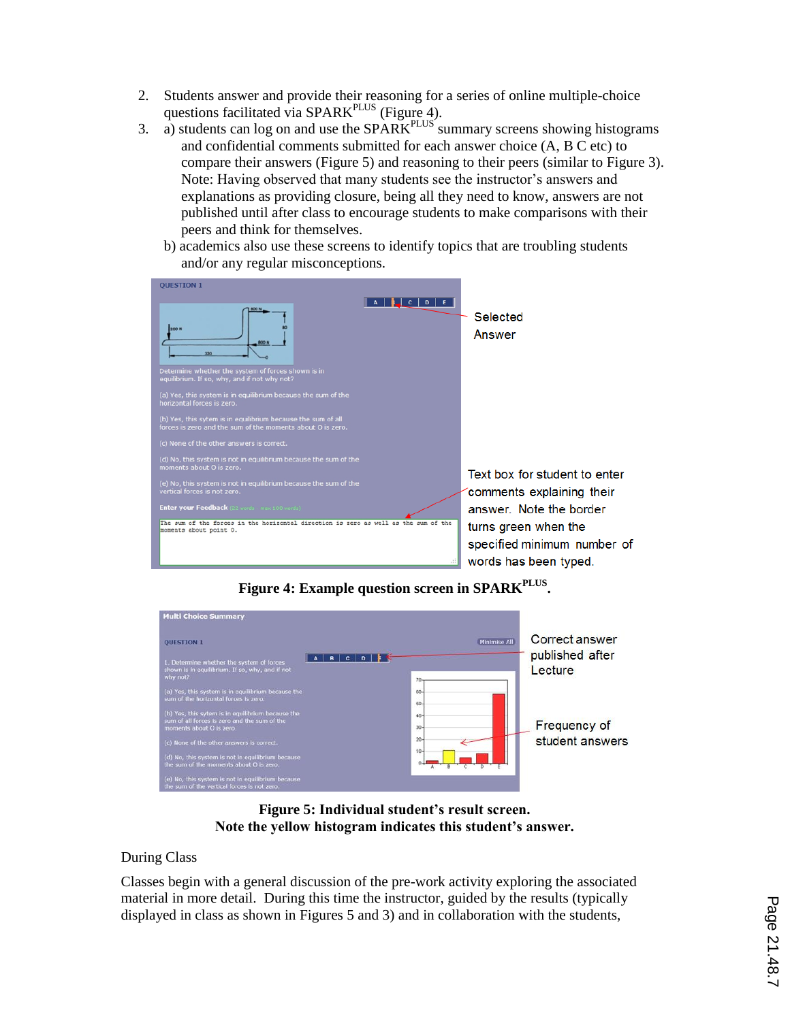- 2. Students answer and provide their reasoning for a series of online multiple-choice questions facilitated via SPARK<sup>PLUS</sup> (Figure 4).
- 3. a) students can log on and use the  $SPARK^{PLUS}$  summary screens showing histograms and confidential comments submitted for each answer choice (A, B C etc) to compare their answers (Figure 5) and reasoning to their peers (similar to Figure 3). Note: Having observed that many students see the instructor"s answers and explanations as providing closure, being all they need to know, answers are not published until after class to encourage students to make comparisons with their peers and think for themselves.
	- b) academics also use these screens to identify topics that are troubling students and/or any regular misconceptions.



**Figure 4: Example question screen in SPARKPLUS .**



**Figure 5: Individual student's result screen. Note the yellow histogram indicates this student's answer.** 

## During Class

Classes begin with a general discussion of the pre-work activity exploring the associated material in more detail. During this time the instructor, guided by the results (typically displayed in class as shown in Figures 5 and 3) and in collaboration with the students,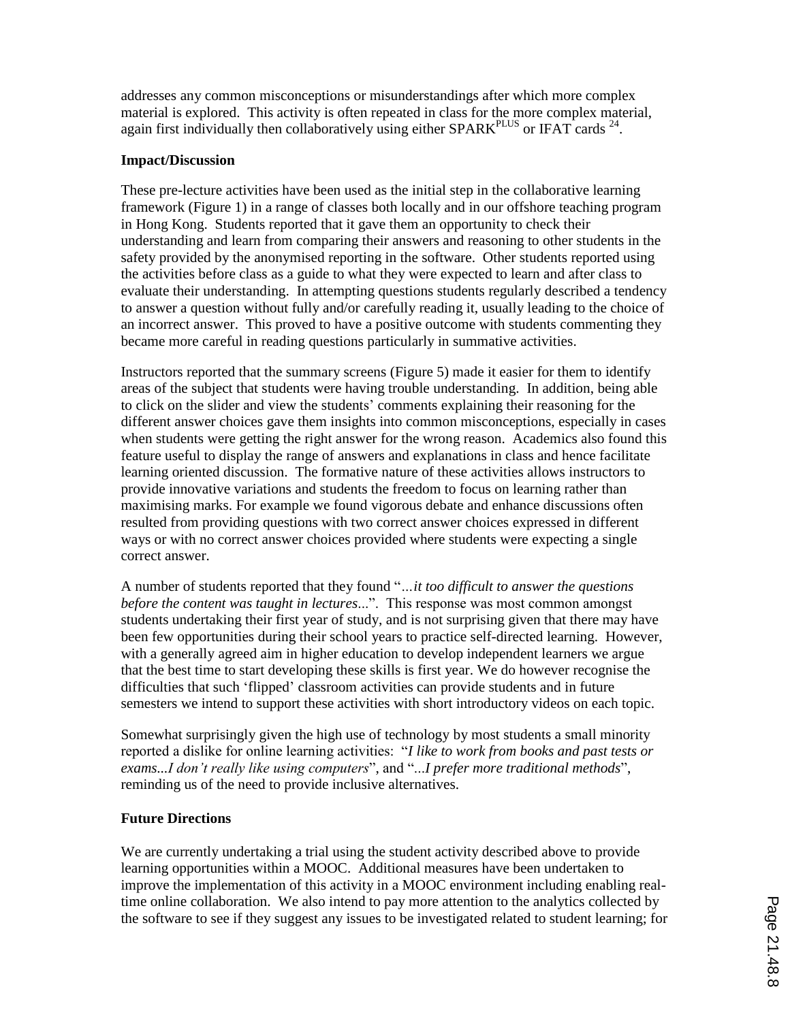addresses any common misconceptions or misunderstandings after which more complex material is explored. This activity is often repeated in class for the more complex material, again first individually then collaboratively using either SPARK $P<sup>PLUS</sup>$  or IFAT cards  $^{24}$ .

## **Impact/Discussion**

These pre-lecture activities have been used as the initial step in the collaborative learning framework (Figure 1) in a range of classes both locally and in our offshore teaching program in Hong Kong. Students reported that it gave them an opportunity to check their understanding and learn from comparing their answers and reasoning to other students in the safety provided by the anonymised reporting in the software. Other students reported using the activities before class as a guide to what they were expected to learn and after class to evaluate their understanding. In attempting questions students regularly described a tendency to answer a question without fully and/or carefully reading it, usually leading to the choice of an incorrect answer. This proved to have a positive outcome with students commenting they became more careful in reading questions particularly in summative activities.

Instructors reported that the summary screens (Figure 5) made it easier for them to identify areas of the subject that students were having trouble understanding. In addition, being able to click on the slider and view the students" comments explaining their reasoning for the different answer choices gave them insights into common misconceptions, especially in cases when students were getting the right answer for the wrong reason. Academics also found this feature useful to display the range of answers and explanations in class and hence facilitate learning oriented discussion. The formative nature of these activities allows instructors to provide innovative variations and students the freedom to focus on learning rather than maximising marks. For example we found vigorous debate and enhance discussions often resulted from providing questions with two correct answer choices expressed in different ways or with no correct answer choices provided where students were expecting a single correct answer.

A number of students reported that they found "*…it too difficult to answer the questions before the content was taught in lectures*...". This response was most common amongst students undertaking their first year of study, and is not surprising given that there may have been few opportunities during their school years to practice self-directed learning. However, with a generally agreed aim in higher education to develop independent learners we argue that the best time to start developing these skills is first year. We do however recognise the difficulties that such "flipped" classroom activities can provide students and in future semesters we intend to support these activities with short introductory videos on each topic.

Somewhat surprisingly given the high use of technology by most students a small minority reported a dislike for online learning activities: "*I like to work from books and past tests or exams...I don"t really like using computers*", and "...*I prefer more traditional methods*", reminding us of the need to provide inclusive alternatives.

### **Future Directions**

We are currently undertaking a trial using the student activity described above to provide learning opportunities within a MOOC. Additional measures have been undertaken to improve the implementation of this activity in a MOOC environment including enabling realtime online collaboration. We also intend to pay more attention to the analytics collected by the software to see if they suggest any issues to be investigated related to student learning; for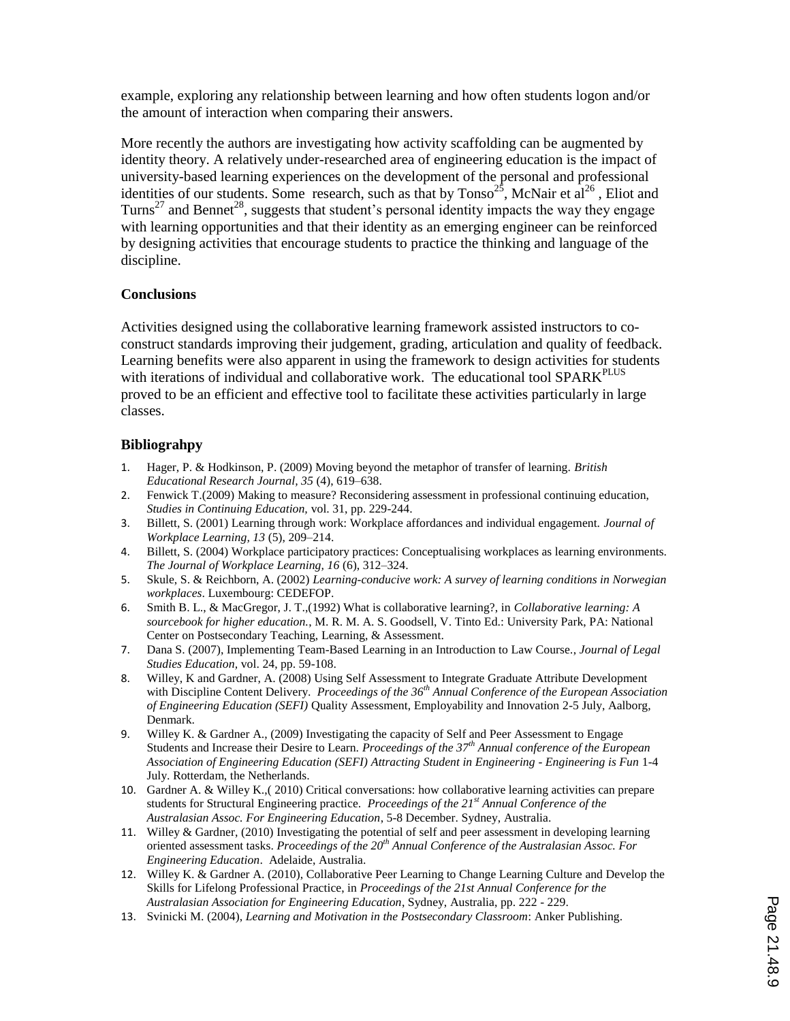example, exploring any relationship between learning and how often students logon and/or the amount of interaction when comparing their answers.

More recently the authors are investigating how activity scaffolding can be augmented by identity theory. A relatively under-researched area of engineering education is the impact of university-based learning experiences on the development of the personal and professional identities of our students. Some research, such as that by  $T$ onso<sup>25</sup>, McNair et al<sup>26</sup>, Eliot and Turns<sup>27</sup> and Bennet<sup>28</sup>, suggests that student's personal identity impacts the way they engage with learning opportunities and that their identity as an emerging engineer can be reinforced by designing activities that encourage students to practice the thinking and language of the discipline.

## **Conclusions**

Activities designed using the collaborative learning framework assisted instructors to coconstruct standards improving their judgement, grading, articulation and quality of feedback. Learning benefits were also apparent in using the framework to design activities for students with iterations of individual and collaborative work. The educational tool SPARK<sup>PLUS</sup> proved to be an efficient and effective tool to facilitate these activities particularly in large classes.

## **Bibliograhpy**

- 1. Hager, P. & Hodkinson, P. (2009) Moving beyond the metaphor of transfer of learning. *British Educational Research Journal, 35* (4), 619–638.
- 2. Fenwick T.(2009) Making to measure? Reconsidering assessment in professional continuing education, *Studies in Continuing Education,* vol. 31, pp. 229-244.
- 3. Billett, S. (2001) Learning through work: Workplace affordances and individual engagement. *Journal of Workplace Learning, 13* (5), 209–214.
- 4. Billett, S. (2004) Workplace participatory practices: Conceptualising workplaces as learning environments. *The Journal of Workplace Learning, 16* (6), 312–324.
- 5. Skule, S. & Reichborn, A. (2002) *Learning-conducive work: A survey of learning conditions in Norwegian workplaces*. Luxembourg: CEDEFOP.
- 6. Smith B. L., & MacGregor, J. T.,(1992) What is collaborative learning?, in *Collaborative learning: A sourcebook for higher education.*, M. R. M. A. S. Goodsell, V. Tinto Ed.: University Park, PA: National Center on Postsecondary Teaching, Learning, & Assessment.
- 7. Dana S. (2007), Implementing Team-Based Learning in an Introduction to Law Course*.*, *Journal of Legal Studies Education,* vol. 24, pp. 59-108.
- 8. Willey, K and Gardner, A. (2008) Using Self Assessment to Integrate Graduate Attribute Development with Discipline Content Delivery. *Proceedings of the 36th Annual Conference of the European Association of Engineering Education (SEFI)* Quality Assessment, Employability and Innovation 2-5 July, Aalborg, Denmark.
- 9. Willey K. & Gardner A., (2009) Investigating the capacity of Self and Peer Assessment to Engage Students and Increase their Desire to Learn. *Proceedings of the 37th Annual conference of the European Association of Engineering Education (SEFI) Attracting Student in Engineering - Engineering is Fun* 1-4 July. Rotterdam, the Netherlands.
- 10. Gardner A. & Willey K.,( 2010) Critical conversations: how collaborative learning activities can prepare students for Structural Engineering practice. *Proceedings of the 21st Annual Conference of the Australasian Assoc. For Engineering Education*, 5-8 December. Sydney, Australia.
- 11. Willey & Gardner, (2010) Investigating the potential of self and peer assessment in developing learning oriented assessment tasks. *Proceedings of the 20th Annual Conference of the Australasian Assoc. For Engineering Education*. Adelaide, Australia.
- 12. Willey K. & Gardner A. (2010), Collaborative Peer Learning to Change Learning Culture and Develop the Skills for Lifelong Professional Practice, in *Proceedings of the 21st Annual Conference for the Australasian Association for Engineering Education*, Sydney, Australia, pp. 222 - 229.
- 13. Svinicki M. (2004), *Learning and Motivation in the Postsecondary Classroom*: Anker Publishing.